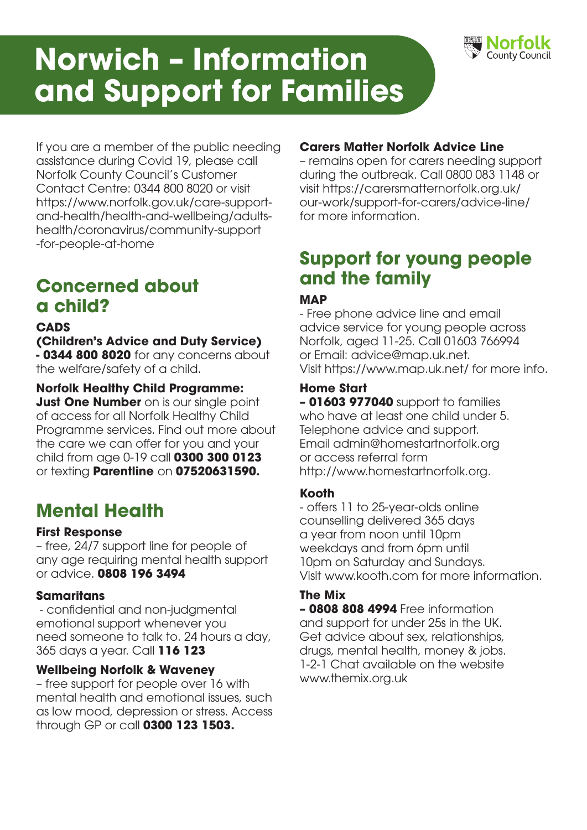# **Norwich – Information and Support for Families**



If you are a member of the public needing assistance during Covid 19, please call Norfolk County Council's Customer Contact Centre: 0344 800 8020 or visit https://www.norfolk.gov.uk/care-supportand-health/health-and-wellbeing/adultshealth/coronavirus/community-support -for-people-at-home

# **Concerned about a child?**

## **CADS**

**(Children's Advice and Duty Service) - 0344 800 8020** for any concerns about the welfare/safety of a child.

## **Norfolk Healthy Child Programme:**

**Just One Number** on is our single point of access for all Norfolk Healthy Child Programme services. Find out more about the care we can offer for you and your child from age 0-19 call **0300 300 0123** or texting **Parentline** on **07520631590.**

# **Mental Health**

#### **First Response**

– free, 24/7 support line for people of any age requiring mental health support or advice. **0808 196 3494**

#### **Samaritans**

 - confidential and non-judgmental emotional support whenever you need someone to talk to. 24 hours a day, 365 days a year. Call **116 123**

# **Wellbeing Norfolk & Waveney**

– free support for people over 16 with mental health and emotional issues, such as low mood, depression or stress. Access through GP or call **0300 123 1503.** 

# **Carers Matter Norfolk Advice Line**

– remains open for carers needing support during the outbreak. Call 0800 083 1148 or visit https://carersmatternorfolk.org.uk/ our-work/support-for-carers/advice-line/ for more information.

# **Support for young people and the family**

# **MAP**

- Free phone advice line and email advice service for young people across Norfolk, aged 11-25. Call 01603 766994 or Email: advice@map.uk.net. Visit https://www.map.uk.net/ for more info.

# **Home Start**

**– 01603 977040** support to families who have at least one child under 5. Telephone advice and support. Email admin@homestartnorfolk.org or access referral form http://www.homestartnorfolk.org.

# **Kooth**

- offers 11 to 25-year-olds online counselling delivered 365 days a year from noon until 10pm weekdays and from 6pm until 10pm on Saturday and Sundays. Visit www.kooth.com for more information.

# **The Mix**

**– 0808 808 4994** Free information and support for under 25s in the UK. Get advice about sex, relationships, drugs, mental health, money & jobs. 1-2-1 Chat available on the website www.themix.org.uk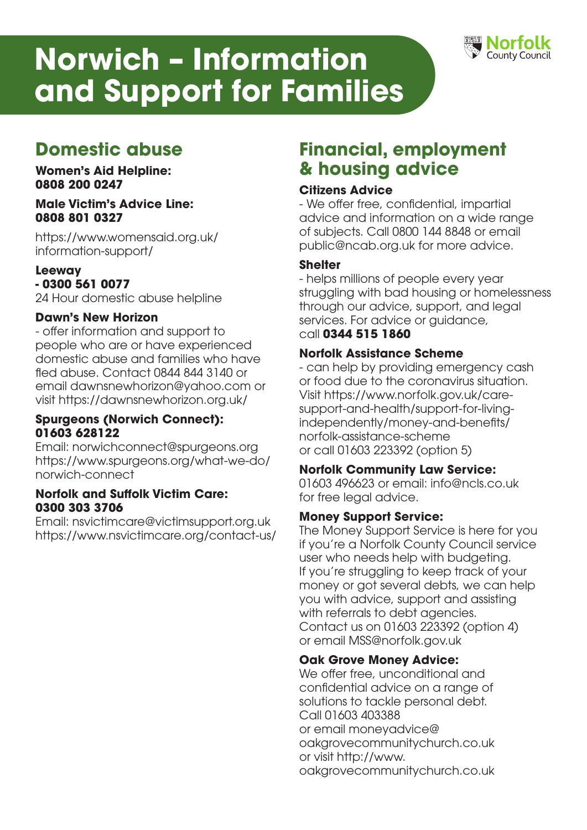# **Norwich – Information and Support for Families**



# **Domestic abuse**

**Women's Aid Helpline: 0808 200 0247** 

#### **Male Victim's Advice Line: 0808 801 0327**

https://www.womensaid.org.uk/ information-support/

# **Leeway**

## **- 0300 561 0077**

24 Hour domestic abuse helpline

#### **Dawn's New Horizon**

- offer information and support to people who are or have experienced domestic abuse and families who have fled abuse. Contact 0844 844 3140 or email dawnsnewhorizon@yahoo.com or visit https://dawnsnewhorizon.org.uk/

#### **Spurgeons (Norwich Connect): 01603 628122**

Email: norwichconnect@spurgeons.org https://www.spurgeons.org/what-we-do/ norwich-connect

#### **Norfolk and Suffolk Victim Care: 0300 303 3706**

Email: nsvictimcare@victimsupport.org.uk https://www.nsvictimcare.org/contact-us/

# **Financial, employment & housing advice**

# **Citizens Advice**

- We offer free, confidential, impartial advice and information on a wide range of subjects. Call 0800 144 8848 or email public@ncab.org.uk for more advice.

# **Shelter**

- helps millions of people every year struggling with bad housing or homelessness through our advice, support, and legal services. For advice or quidance, call **0344 515 1860**

# **Norfolk Assistance Scheme**

- can help by providing emergency cash or food due to the coronavirus situation. Visit https://www.norfolk.gov.uk/caresupport-and-health/support-for-livingindependently/money-and-benefits/ norfolk-assistance-scheme or call 01603 223392 (option 5)

# **Norfolk Community Law Service:**

01603 496623 or email: info@ncls.co.uk for free legal advice.

#### **Money Support Service:**

The Money Support Service is here for you if you're a Norfolk County Council service user who needs help with budgeting. If you're struggling to keep track of your money or got several debts, we can help you with advice, support and assisting with referrals to debt agencies. Contact us on 01603 223392 (option 4) or email MSS@norfolk.gov.uk

#### **Oak Grove Money Advice:**

We offer free, unconditional and confidential advice on a range of solutions to tackle personal debt. Call 01603 403388 or email moneyadvice@ oakgrovecommunitychurch.co.uk or visit http://www. oakgrovecommunitychurch.co.uk